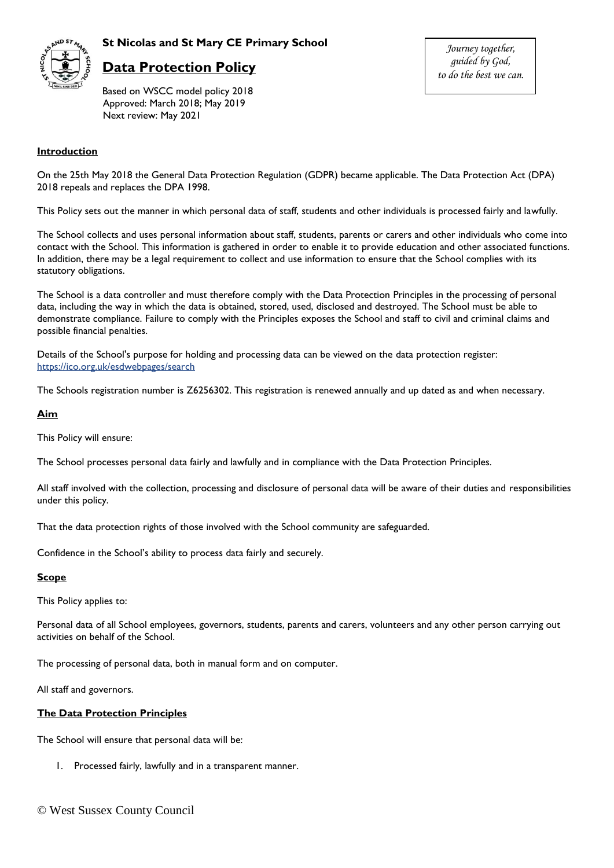

## **St Nicolas and St Mary CE Primary School**

# **Data Protection Policy**

Based on WSCC model policy 2018 Approved: March 2018; May 2019 Next review: May 2021

*Journey together, guided by God, to do the best we can.*

## **Introduction**

On the 25th May 2018 the General Data Protection Regulation (GDPR) became applicable. The Data Protection Act (DPA) 2018 repeals and replaces the DPA 1998.

This Policy sets out the manner in which personal data of staff, students and other individuals is processed fairly and lawfully.

The School collects and uses personal information about staff, students, parents or carers and other individuals who come into contact with the School. This information is gathered in order to enable it to provide education and other associated functions. In addition, there may be a legal requirement to collect and use information to ensure that the School complies with its statutory obligations.

The School is a data controller and must therefore comply with the Data Protection Principles in the processing of personal data, including the way in which the data is obtained, stored, used, disclosed and destroyed. The School must be able to demonstrate compliance. Failure to comply with the Principles exposes the School and staff to civil and criminal claims and possible financial penalties.

Details of the School's purpose for holding and processing data can be viewed on the data protection register: <https://ico.org.uk/esdwebpages/search>

The Schools registration number is Z6256302. This registration is renewed annually and up dated as and when necessary.

#### **Aim**

This Policy will ensure:

The School processes personal data fairly and lawfully and in compliance with the Data Protection Principles.

All staff involved with the collection, processing and disclosure of personal data will be aware of their duties and responsibilities under this policy.

That the data protection rights of those involved with the School community are safeguarded.

Confidence in the School's ability to process data fairly and securely.

#### **Scope**

This Policy applies to:

Personal data of all School employees, governors, students, parents and carers, volunteers and any other person carrying out activities on behalf of the School.

The processing of personal data, both in manual form and on computer.

All staff and governors.

#### **The Data Protection Principles**

The School will ensure that personal data will be:

1. Processed fairly, lawfully and in a transparent manner.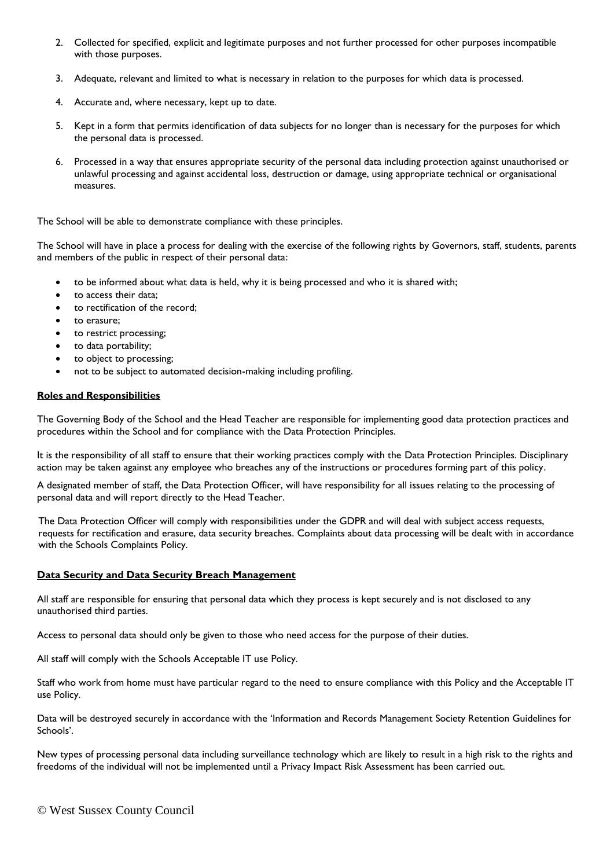- 2. Collected for specified, explicit and legitimate purposes and not further processed for other purposes incompatible with those purposes.
- 3. Adequate, relevant and limited to what is necessary in relation to the purposes for which data is processed.
- 4. Accurate and, where necessary, kept up to date.
- 5. Kept in a form that permits identification of data subjects for no longer than is necessary for the purposes for which the personal data is processed.
- 6. Processed in a way that ensures appropriate security of the personal data including protection against unauthorised or unlawful processing and against accidental loss, destruction or damage, using appropriate technical or organisational measures.

The School will be able to demonstrate compliance with these principles.

The School will have in place a process for dealing with the exercise of the following rights by Governors, staff, students, parents and members of the public in respect of their personal data:

- to be informed about what data is held, why it is being processed and who it is shared with;
- to access their data;
- to rectification of the record;
- to erasure;
- to restrict processing;
- to data portability;
- to object to processing;
- not to be subject to automated decision-making including profiling.

## **Roles and Responsibilities**

The Governing Body of the School and the Head Teacher are responsible for implementing good data protection practices and procedures within the School and for compliance with the Data Protection Principles.

It is the responsibility of all staff to ensure that their working practices comply with the Data Protection Principles. Disciplinary action may be taken against any employee who breaches any of the instructions or procedures forming part of this policy.

A designated member of staff, the Data Protection Officer, will have responsibility for all issues relating to the processing of personal data and will report directly to the Head Teacher.

The Data Protection Officer will comply with responsibilities under the GDPR and will deal with subject access requests, requests for rectification and erasure, data security breaches. Complaints about data processing will be dealt with in accordance with the Schools Complaints Policy.

## **Data Security and Data Security Breach Management**

All staff are responsible for ensuring that personal data which they process is kept securely and is not disclosed to any unauthorised third parties.

Access to personal data should only be given to those who need access for the purpose of their duties.

All staff will comply with the Schools Acceptable IT use Policy.

Staff who work from home must have particular regard to the need to ensure compliance with this Policy and the Acceptable IT use Policy.

Data will be destroyed securely in accordance with the 'Information and Records Management Society Retention Guidelines for Schools'.

New types of processing personal data including surveillance technology which are likely to result in a high risk to the rights and freedoms of the individual will not be implemented until a Privacy Impact Risk Assessment has been carried out.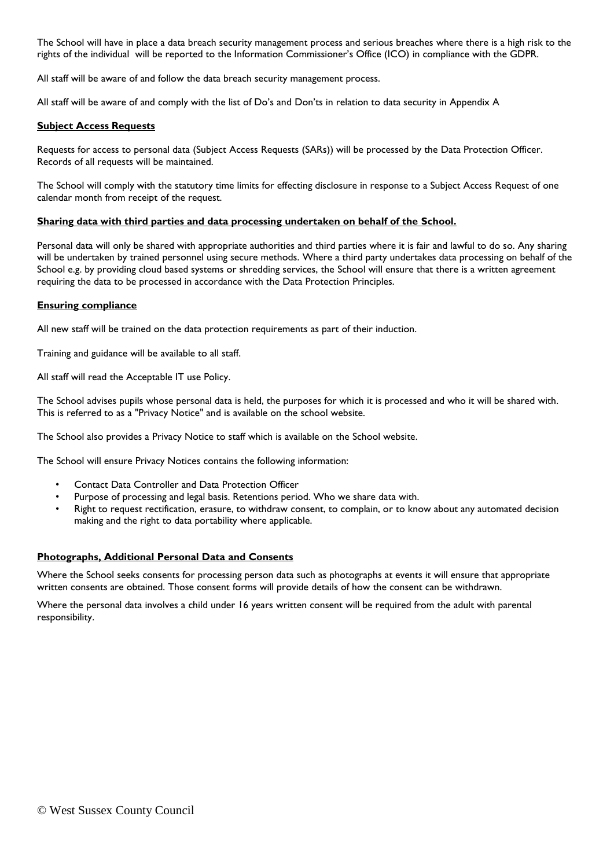The School will have in place a data breach security management process and serious breaches where there is a high risk to the rights of the individual will be reported to the Information Commissioner's Office (ICO) in compliance with the GDPR.

All staff will be aware of and follow the data breach security management process.

All staff will be aware of and comply with the list of Do's and Don'ts in relation to data security in Appendix A

### **Subject Access Requests**

Requests for access to personal data (Subject Access Requests (SARs)) will be processed by the Data Protection Officer. Records of all requests will be maintained.

The School will comply with the statutory time limits for effecting disclosure in response to a Subject Access Request of one calendar month from receipt of the request.

#### **Sharing data with third parties and data processing undertaken on behalf of the School.**

Personal data will only be shared with appropriate authorities and third parties where it is fair and lawful to do so. Any sharing will be undertaken by trained personnel using secure methods. Where a third party undertakes data processing on behalf of the School e.g. by providing cloud based systems or shredding services, the School will ensure that there is a written agreement requiring the data to be processed in accordance with the Data Protection Principles.

#### **Ensuring compliance**

All new staff will be trained on the data protection requirements as part of their induction.

Training and guidance will be available to all staff.

All staff will read the Acceptable IT use Policy.

The School advises pupils whose personal data is held, the purposes for which it is processed and who it will be shared with. This is referred to as a "Privacy Notice" and is available on the school website.

The School also provides a Privacy Notice to staff which is available on the School website.

The School will ensure Privacy Notices contains the following information:

- Contact Data Controller and Data Protection Officer
- Purpose of processing and legal basis. Retentions period. Who we share data with.
- Right to request rectification, erasure, to withdraw consent, to complain, or to know about any automated decision making and the right to data portability where applicable.

#### **Photographs, Additional Personal Data and Consents**

Where the School seeks consents for processing person data such as photographs at events it will ensure that appropriate written consents are obtained. Those consent forms will provide details of how the consent can be withdrawn.

Where the personal data involves a child under 16 years written consent will be required from the adult with parental responsibility.